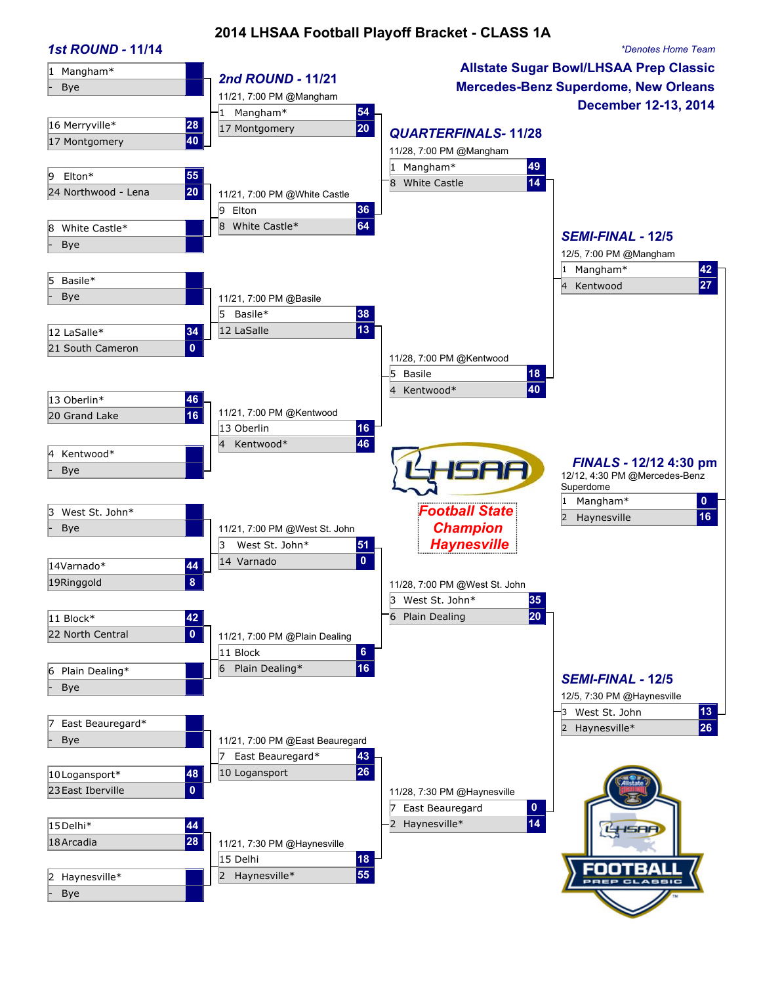## **2014 LHSAA Football Playoff Bracket - CLASS 1A**

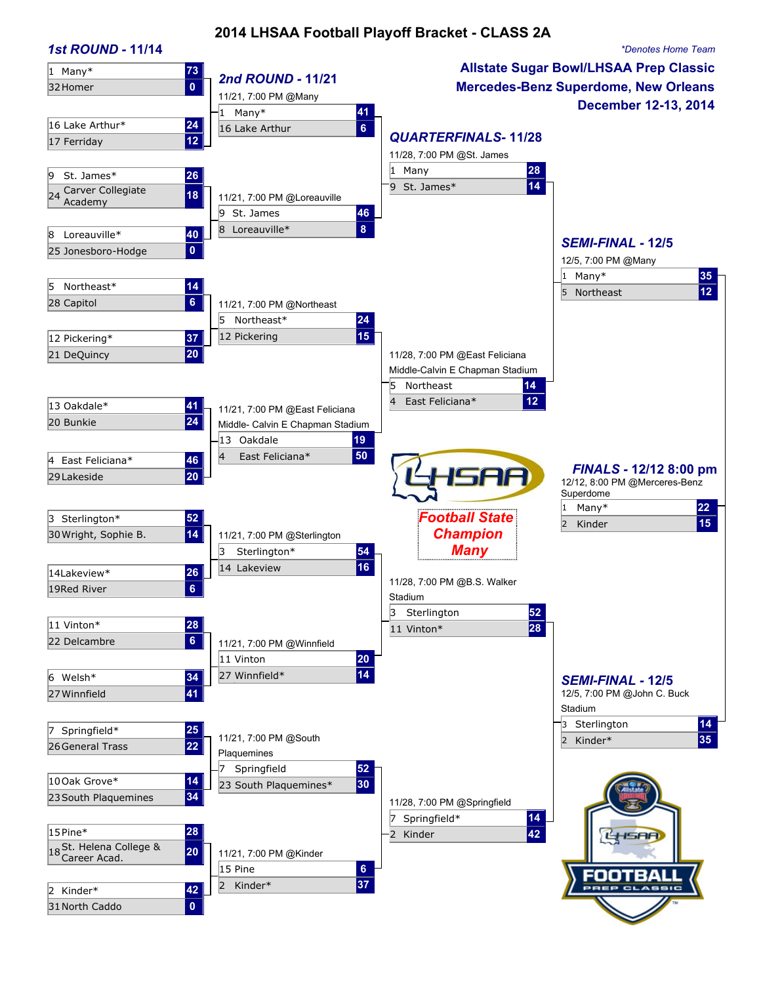### **2014 LHSAA Football Playoff Bracket - CLASS 2A**

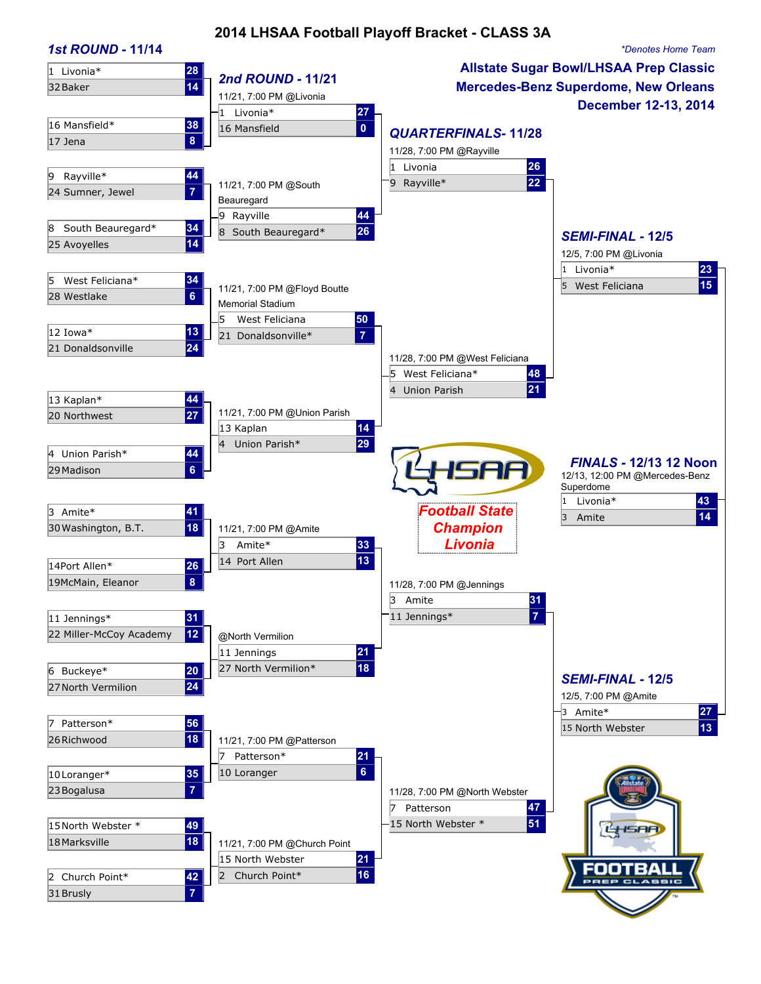### **2014 LHSAA Football Playoff Bracket - CLASS 3A**

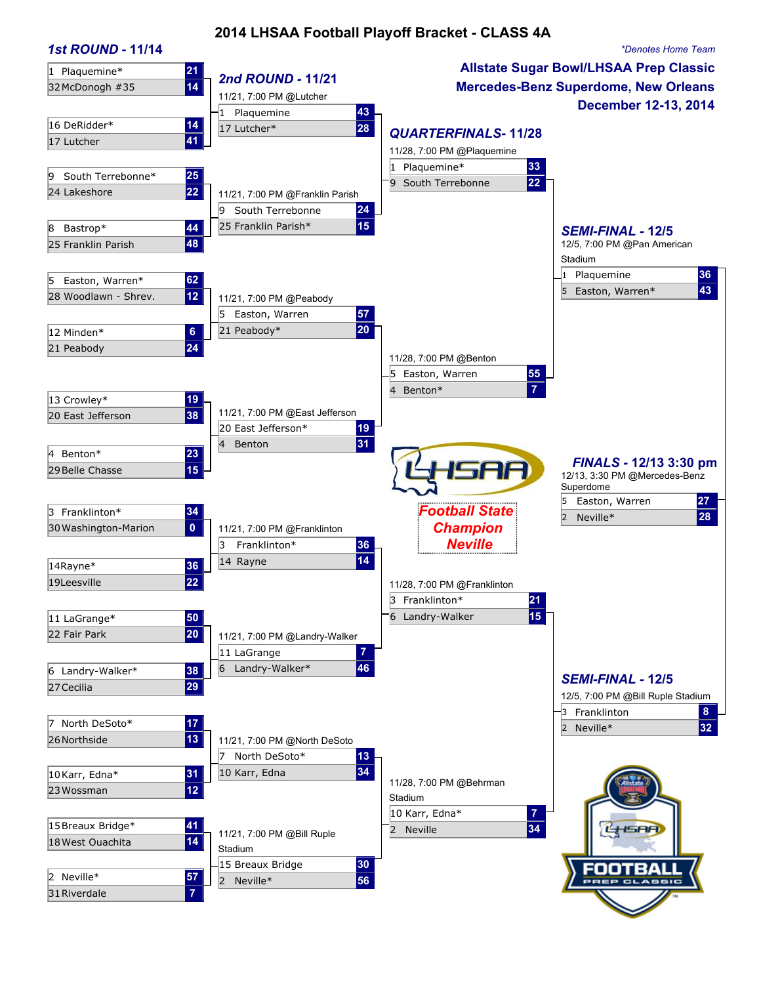### **2014 LHSAA Football Playoff Bracket - CLASS 4A**

#### *1st ROUND -* **11/14** *\*Denotes Home Team* **Allstate Sugar Bowl/LHSAA Prep Classic** 1 Plaquemine\* **21** 32McDonogh #35 **<sup>14</sup>** *2nd ROUND -* **11/21 Mercedes-Benz Superdome, New Orleans**  11/21, 7:00 PM @Lutcher **December 12-13, 2014**  1 Plaquemine **43** 16 DeRidder\* **14** 17 Lutcher\* **28** <sup>17</sup> Lutcher **<sup>41</sup>** *QUARTERFINALS-* **11/28** 11/28, 7:00 PM @Plaquemine 1 Plaquemine\* **33** 9 South Terrebonne\* 25<br>24 Lakeshore 22 9 South Terrebonne 22 11/21, 7:00 PM @Franklin Parish 9 South Terrebonne **24** 8 Bastrop\* **44** 25 Franklin Parish\* **15** *SEMI-FINAL -* **12/5** 25 Franklin Parish **48** 12/5, 7:00 PM @Pan American Stadium 1 Plaquemine **36** 5 Easton, Warren\* **62** 5 Easton, Warren\* **43** 28 Woodlawn - Shrev. **12** 11/21, 7:00 PM @Peabody 5 Easton, Warren **57** 12 Minden\* **6** 21 Peabody\* **20** 21 Peabody **24** 11/28, 7:00 PM @Benton 5 Easton, Warren **55** 4 Benton\* **7** 13 Crowley\* **19** 20 East Jefferson **38** 11/21, 7:00 PM @East Jefferson 20 East Jefferson\* **19** 4 Benton **31** 4 Benton\* **23** *FINALS -* **12/13 3:30 pm** SAA 29Belle Chasse **15** 12/13, 3:30 PM @Mercedes-Benz Superdome 5 Easton, Warren **27** *Football State* <sup>2</sup> Neville\* **<sup>28</sup>** <sup>3</sup> Franklinton\* **<sup>34</sup>** 30Washington-Marion **0** 11/21, 7:00 PM @Franklinton *Champion* 3 Franklinton\* **36** *Neville* <sup>14</sup> Rayne **<sup>14</sup>** 14Rayne\* **<sup>36</sup>** 19Leesville **22** 11/28, 7:00 PM @Franklinton 3 Franklinton\* **21** 11 LaGrange\* **50** 50 **11 LaGrange\*** 15 22 Fair Park **20** 11/21, 7:00 PM @Landry-Walker 11 LaGrange **7** 6 Landry-Walker\* **38** 6 Landry-Walker\* **46** 27Cecilia **<sup>29</sup>** *SEMI-FINAL -* **12/5** 12/5, 7:00 PM @Bill Ruple Stadium 3 Franklinton **8** <sup>2</sup> Neville\* **32** <sup>7</sup> North DeSoto\* **17** 26Northside **13** 11/21, 7:00 PM @North DeSoto 7 North DeSoto\* **13** 10Karr, Edna\* **31** 10 Karr, Edna **34** 23 Wossman **12** 12 11/28, 7:00 PM @Behrman **12** 128, 7:00 PM 2011 Stadium 10 Karr, Edna\* **7** <sup>2</sup> Neville **34** 15Breaux Bridge\* **41** 18West Ouachita **<sup>14</sup>** 11/21, 7:00 PM @Bill Ruple Stadium 15 Breaux Bridge **30** оотв <sup>2</sup> Neville\* **56** <sup>2</sup> Neville\* **57** 31Riverdale **7**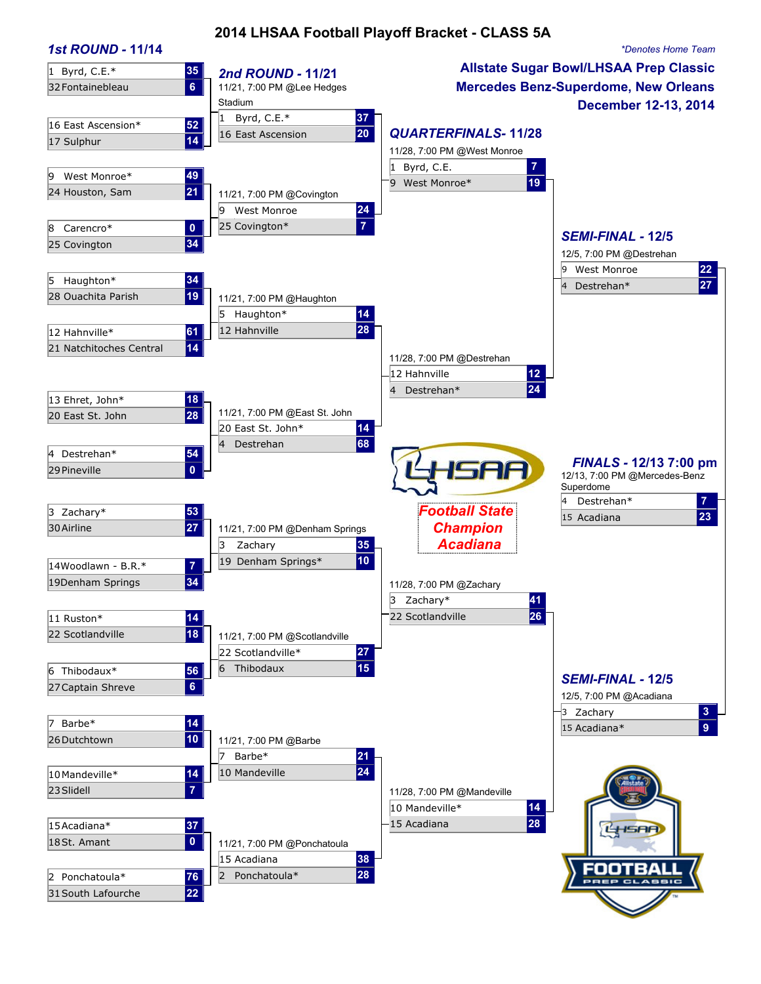## **2014 LHSAA Football Playoff Bracket - CLASS 5A**

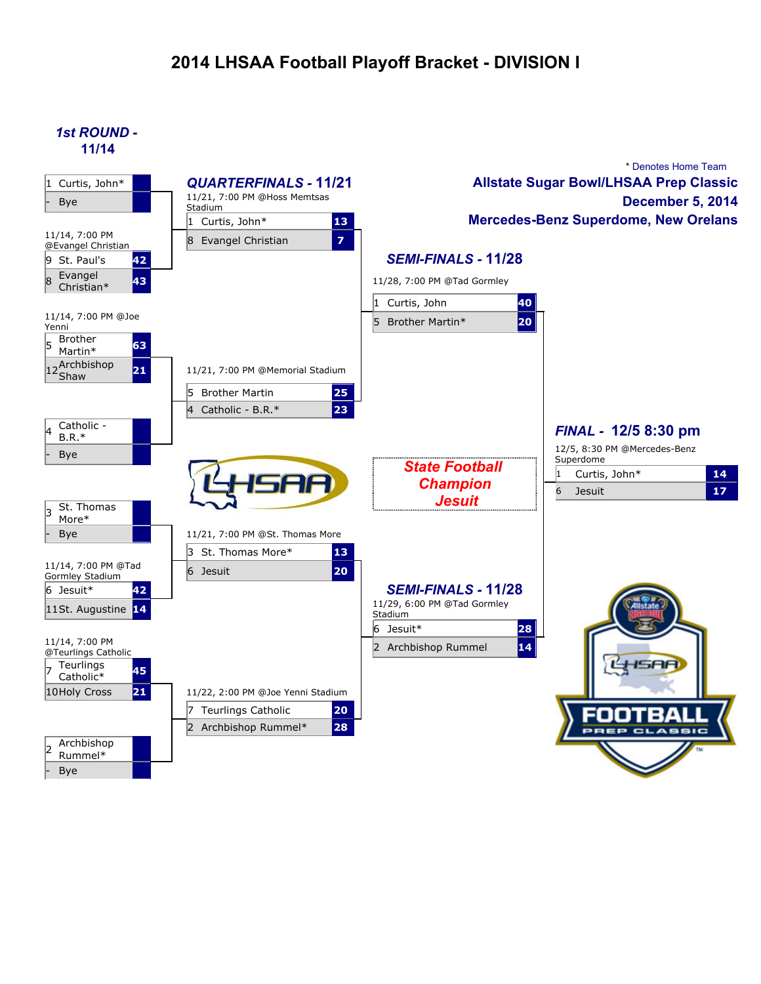# **2014 LHSAA Football Playoff Bracket - DIVISION I**

*1st ROUND -* **11/14**



- Bye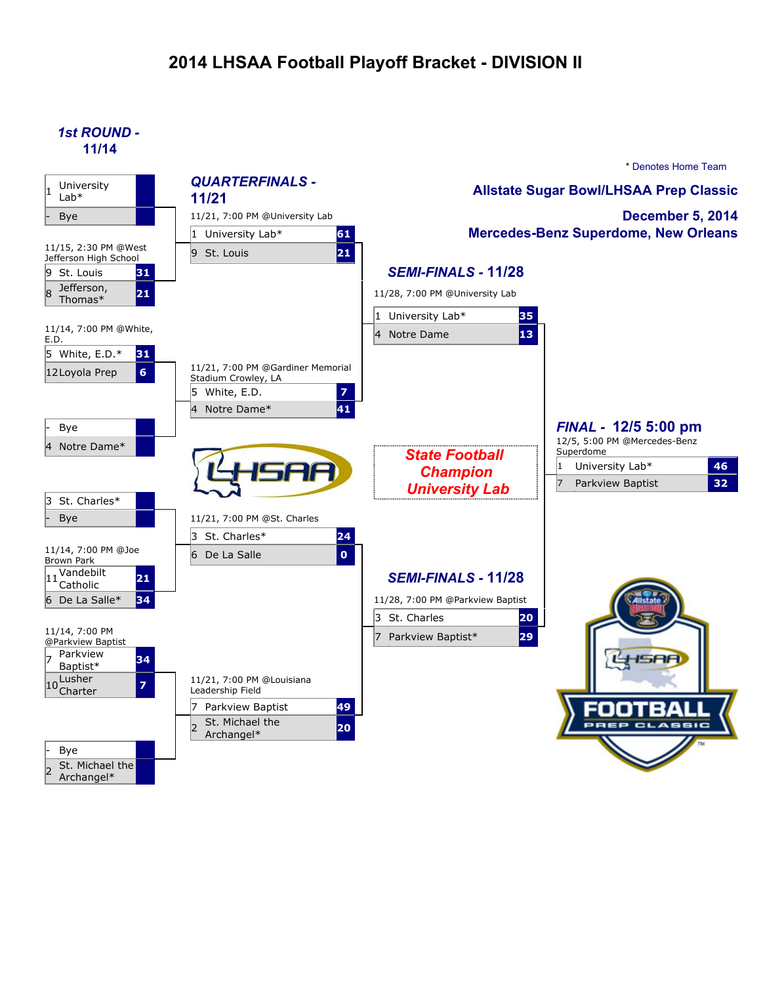# **2014 LHSAA Football Playoff Bracket - DIVISION II**

*1st ROUND -* **11/14**



Archangel\*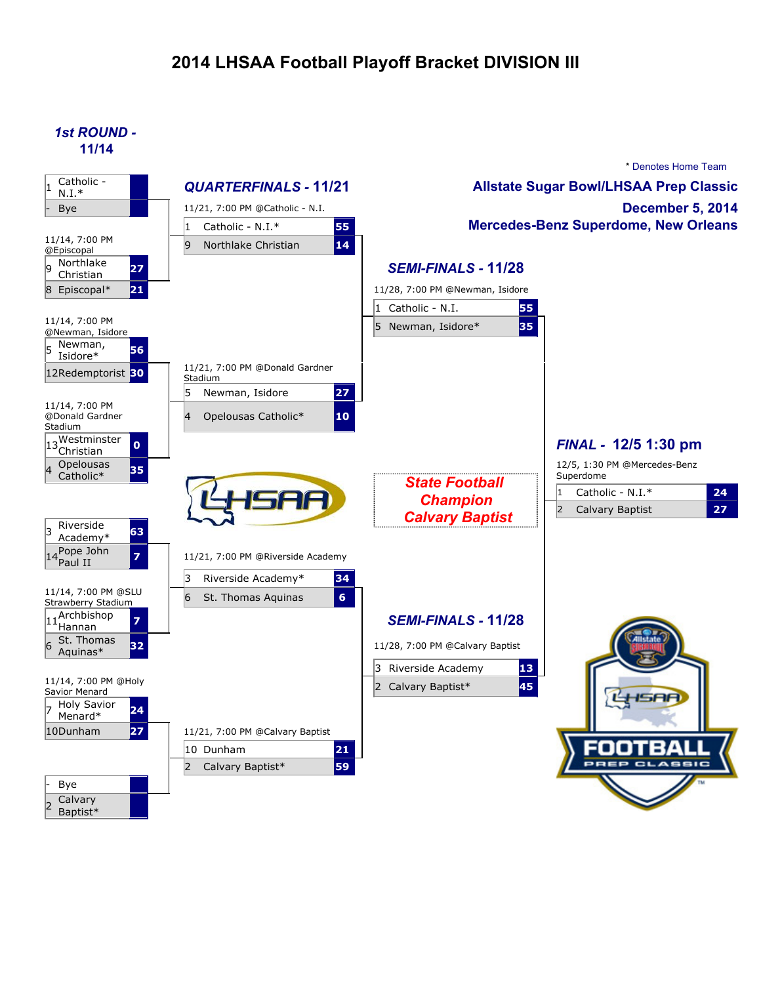# **2014 LHSAA Football Playoff Bracket DIVISION III**

*1st ROUND -* **11/14**